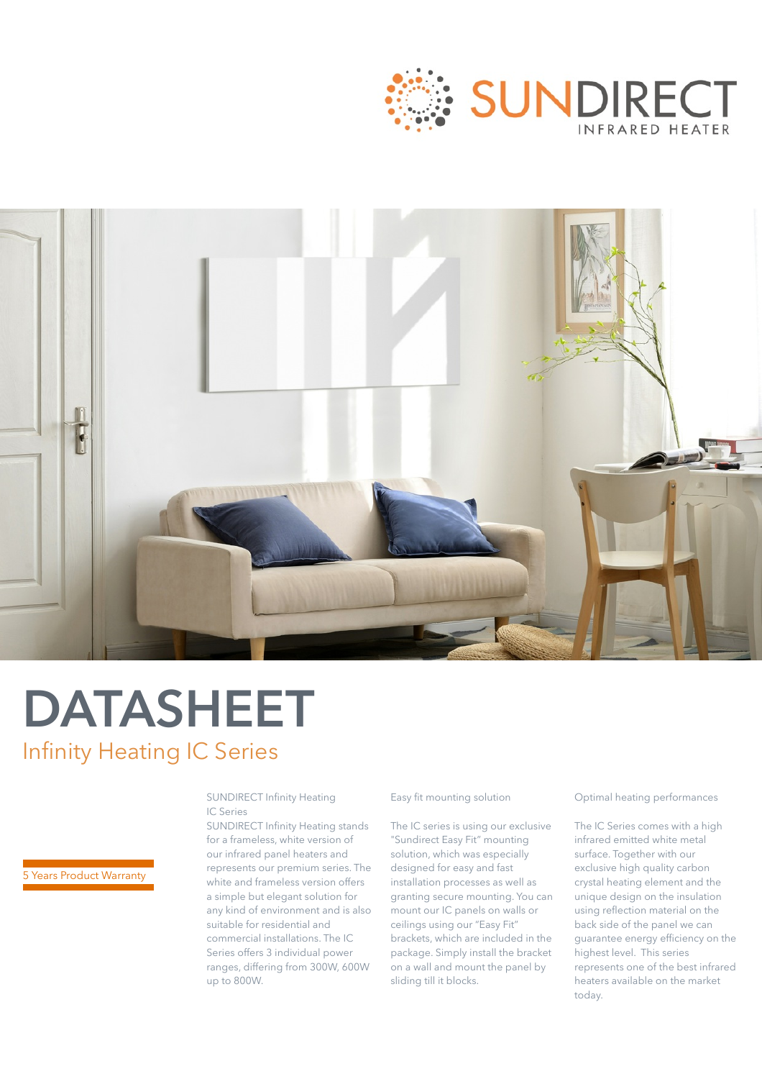



# **DATASHEET** Infinity Heating IC Series

SUNDIRECT Infinity Heating IC Series

SUNDIRECT Infinity Heating stands for a frameless, white version of our infrared panel heaters and represents our premium series. The white and frameless version offers a simple but elegant solution for any kind of environment and is also suitable for residential and commercial installations. The IC Series offers 3 individual power ranges, differing from 300W, 600W up to 800W.

#### Easy fit mounting solution

The IC series is using our exclusive "Sundirect Easy Fit" mounting solution, which was especially designed for easy and fast installation processes as well as granting secure mounting. You can mount our IC panels on walls or ceilings using our "Easy Fit" brackets, which are included in the package. Simply install the bracket on a wall and mount the panel by sliding till it blocks.

Optimal heating performances

The IC Series comes with a high infrared emitted white metal surface. Together with our exclusive high quality carbon crystal heating element and the unique design on the insulation using reflection material on the back side of the panel we can guarantee energy efficiency on the highest level. This series represents one of the best infrared heaters available on the market today.

### 5 Years Product Warranty